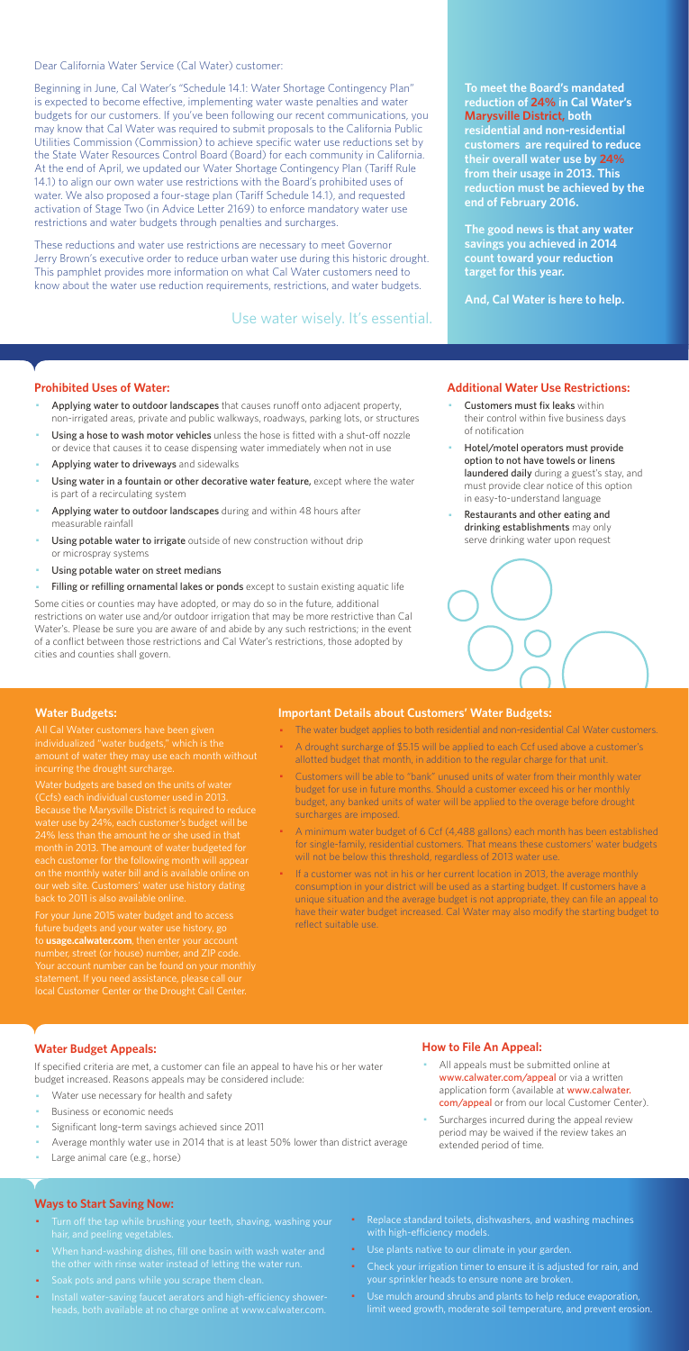Dear California Water Service (Cal Water) customer:

Beginning in June, Cal Water's "Schedule 14.1: Water Shortage Contingency Plan" is expected to become effective, implementing water waste penalties and water budgets for our customers. If you've been following our recent communications, you may know that Cal Water was required to submit proposals to the California Public Utilities Commission (Commission) to achieve specific water use reductions set by the State Water Resources Control Board (Board) for each community in California. At the end of April, we updated our Water Shortage Contingency Plan (Tariff Rule 14.1) to align our own water use restrictions with the Board's prohibited uses of water. We also proposed a four-stage plan (Tariff Schedule 14.1), and requested activation of Stage Two (in Advice Letter 2169) to enforce mandatory water use restrictions and water budgets through penalties and surcharges.

These reductions and water use restrictions are necessary to meet Governor Jerry Brown's executive order to reduce urban water use during this historic drought. This pamphlet provides more information on what Cal Water customers need to know about the water use reduction requirements, restrictions, and water budgets.

#### **Prohibited Uses of Water:**

- Applying water to outdoor landscapes that causes runoff onto adjacent property, non-irrigated areas, private and public walkways, roadways, parking lots, or structures
- Using a hose to wash motor vehicles unless the hose is fitted with a shut-off nozzle or device that causes it to cease dispensing water immediately when not in use
- Applying water to driveways and sidewalks
- Using water in a fountain or other decorative water feature, except where the water is part of a recirculating system
- Applying water to outdoor landscapes during and within 48 hours after measurable rainfall
- Using potable water to irrigate outside of new construction without drip or microspray systems
- Using potable water on street medians
- Filling or refilling ornamental lakes or ponds except to sustain existing aquatic life
- Customers must fix leaks within their control within five business days of notification
- Hotel/motel operators must provide option to not have towels or linens laundered daily during a guest's stay, and must provide clear notice of this option in easy-to-understand language
- Restaurants and other eating and drinking establishments may only serve drinking water upon request



- All appeals must be submitted online at www.calwater.com/appeal or via a written application form (available at www.calwater. com/appeal or from our local Customer Center).
- · Surcharges incurred during the appeal review period may be waived if the review takes an extended period of time.

Some cities or counties may have adopted, or may do so in the future, additional restrictions on water use and/or outdoor irrigation that may be more restrictive than Cal Water's. Please be sure you are aware of and abide by any such restrictions; in the event of a conflict between those restrictions and Cal Water's restrictions, those adopted by cities and counties shall govern.

- Turn off the tap while brushing your teeth, shaving, washing your hair, and peeling vegetables.
- · When hand-washing dishes, fill one basin with wash water and the other with rinse water instead of letting the water run.
- · Soak pots and pans while you scrape them clean.
- · Install water-saving faucet aerators and high-efficiency showerheads, both available at no charge online at www.calwater.com.
- Replace standard toilets, dishwashers, and washing machines with high-efficiency models.
- · Use plants native to our climate in your garden.
- Check your irrigation timer to ensure it is adjusted for rain, and your sprinkler heads to ensure none are broken.
- · Use mulch around shrubs and plants to help reduce evaporation, limit weed growth, moderate soil temperature, and prevent erosion.

**To meet the Board's mandated reduction of 24% in Cal Water's Marysville District, both residential and non-residential customers are required to reduce their overall water use by 24% from their usage in 2013. This reduction must be achieved by the end of February 2016.** 

**The good news is that any water savings you achieved in 2014 count toward your reduction target for this year.** 

**And, Cal Water is here to help.** 

#### **Additional Water Use Restrictions:**

## **Water Budget Appeals:**

If specified criteria are met, a customer can file an appeal to have his or her water budget increased. Reasons appeals may be considered include:

- Water use necessary for health and safety
- Business or economic needs
- Significant long-term savings achieved since 2011
- Average monthly water use in 2014 that is at least 50% lower than district average
- Large animal care (e.g., horse)

If a customer was not in his or her current location in 2013, the average monthly consumption in your district will be used as a starting budget. If customers have a unique situation and the average budget is not appropriate, they can file an appeal to have their water budget increased. Cal Water may also modify the starting budget to reflect suitable use.

## **How to File An Appeal:**

#### **Ways to Start Saving Now:**

Use water wisely. It's essential.

#### **Water Budgets:**

individualized "water budgets," which is the incurring the drought surcharge.

Water budgets are based on the units of water water use by 24%, each customer's budget will be 24% less than the amount he or she used in that month in 2013. The amount of water budgeted for each customer for the following month will appea on the monthly water bill and is available online on

For your June 2015 water budget and to access future budgets and your water use history, go to **usage.calwater.com**, then enter your account number, street (or house) number, and ZIP code. local Customer Center or the Drought Call Center.

#### **Important Details about Customers' Water Budgets:**

- · The water budget applies to both residential and non-residential Cal Water customers.
- · A drought surcharge of \$5.15 will be applied to each Ccf used above a customer's allotted budget that month, in addition to the regular charge for that unit.
- · Customers will be able to "bank" unused units of water from their monthly water budget for use in future months. Should a customer exceed his or her monthly budget, any banked units of water will be applied to the overage before drought surcharges are imposed.
- · A minimum water budget of 6 Ccf (4,488 gallons) each month has been established for single-family, residential customers. That means these customers' water budgets will not be below this threshold, regardless of 2013 water use.